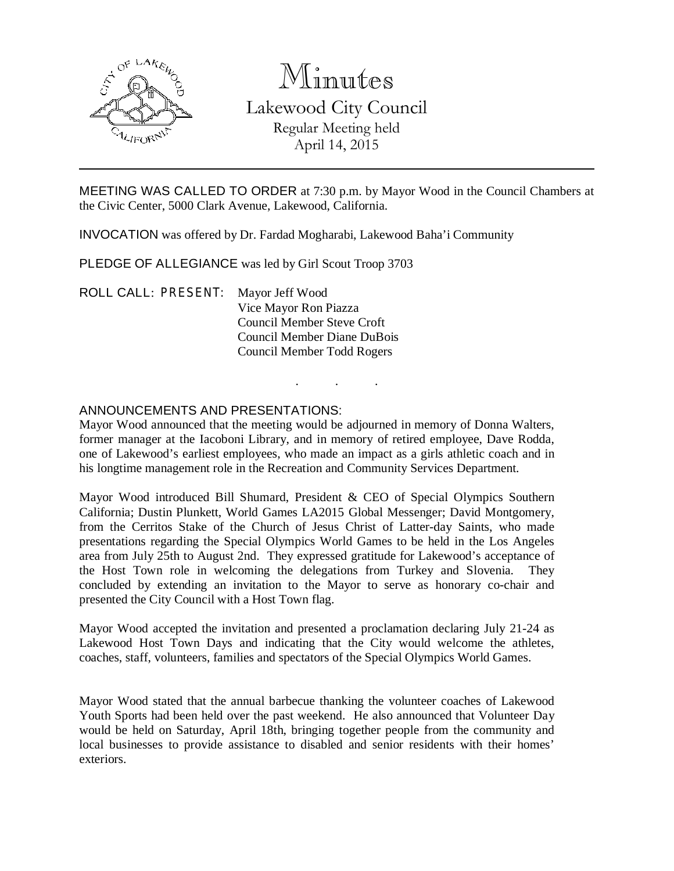

# Minutes Lakewood City Council Regular Meeting held April 14, 2015

MEETING WAS CALLED TO ORDER at 7:30 p.m. by Mayor Wood in the Council Chambers at the Civic Center, 5000 Clark Avenue, Lakewood, California.

INVOCATION was offered by Dr. Fardad Mogharabi, Lakewood Baha'i Community

PLEDGE OF ALLEGIANCE was led by Girl Scout Troop 3703

ROLL CALL: PRESENT: Mayor Jeff Wood Vice Mayor Ron Piazza Council Member Steve Croft Council Member Diane DuBois Council Member Todd Rogers

## ANNOUNCEMENTS AND PRESENTATIONS:

Mayor Wood announced that the meeting would be adjourned in memory of Donna Walters, former manager at the Iacoboni Library, and in memory of retired employee, Dave Rodda, one of Lakewood's earliest employees, who made an impact as a girls athletic coach and in his longtime management role in the Recreation and Community Services Department.

. . .

Mayor Wood introduced Bill Shumard, President & CEO of Special Olympics Southern California; Dustin Plunkett, World Games LA2015 Global Messenger; David Montgomery, from the Cerritos Stake of the Church of Jesus Christ of Latter-day Saints, who made presentations regarding the Special Olympics World Games to be held in the Los Angeles area from July 25th to August 2nd. They expressed gratitude for Lakewood's acceptance of the Host Town role in welcoming the delegations from Turkey and Slovenia. They concluded by extending an invitation to the Mayor to serve as honorary co-chair and presented the City Council with a Host Town flag.

Mayor Wood accepted the invitation and presented a proclamation declaring July 21-24 as Lakewood Host Town Days and indicating that the City would welcome the athletes, coaches, staff, volunteers, families and spectators of the Special Olympics World Games.

Mayor Wood stated that the annual barbecue thanking the volunteer coaches of Lakewood Youth Sports had been held over the past weekend. He also announced that Volunteer Day would be held on Saturday, April 18th, bringing together people from the community and local businesses to provide assistance to disabled and senior residents with their homes' exteriors.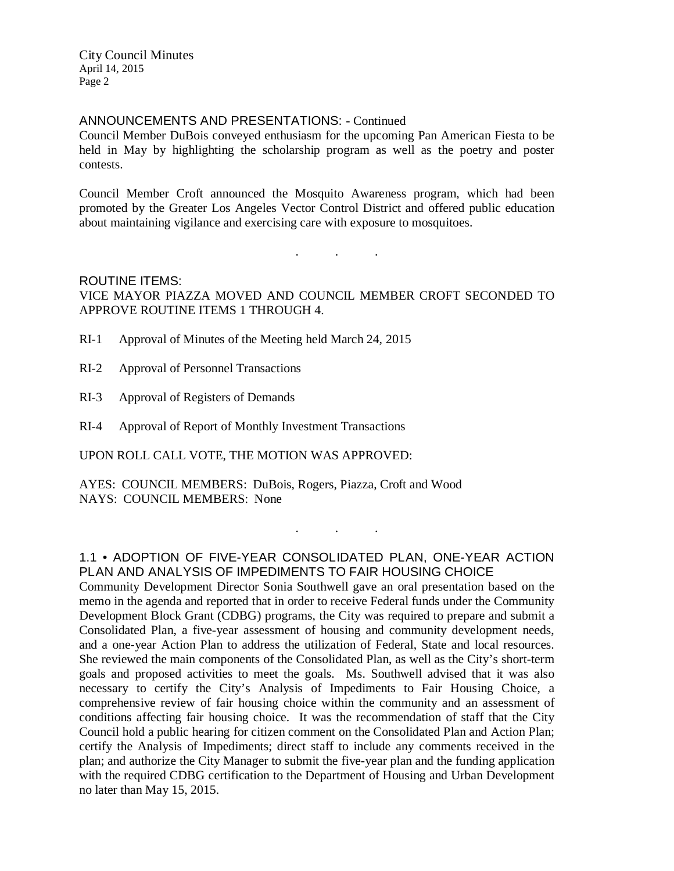City Council Minutes April 14, 2015 Page 2

#### ANNOUNCEMENTS AND PRESENTATIONS: - Continued

Council Member DuBois conveyed enthusiasm for the upcoming Pan American Fiesta to be held in May by highlighting the scholarship program as well as the poetry and poster contests.

Council Member Croft announced the Mosquito Awareness program, which had been promoted by the Greater Los Angeles Vector Control District and offered public education about maintaining vigilance and exercising care with exposure to mosquitoes.

. . .

# ROUTINE ITEMS: VICE MAYOR PIAZZA MOVED AND COUNCIL MEMBER CROFT SECONDED TO APPROVE ROUTINE ITEMS 1 THROUGH 4.

- RI-1 Approval of Minutes of the Meeting held March 24, 2015
- RI-2 Approval of Personnel Transactions
- RI-3 Approval of Registers of Demands
- RI-4 Approval of Report of Monthly Investment Transactions

UPON ROLL CALL VOTE, THE MOTION WAS APPROVED:

AYES: COUNCIL MEMBERS: DuBois, Rogers, Piazza, Croft and Wood NAYS: COUNCIL MEMBERS: None

# 1.1 • ADOPTION OF FIVE-YEAR CONSOLIDATED PLAN, ONE-YEAR ACTION PLAN AND ANALYSIS OF IMPEDIMENTS TO FAIR HOUSING CHOICE

. . .

Community Development Director Sonia Southwell gave an oral presentation based on the memo in the agenda and reported that in order to receive Federal funds under the Community Development Block Grant (CDBG) programs, the City was required to prepare and submit a Consolidated Plan, a five-year assessment of housing and community development needs, and a one-year Action Plan to address the utilization of Federal, State and local resources. She reviewed the main components of the Consolidated Plan, as well as the City's short-term goals and proposed activities to meet the goals. Ms. Southwell advised that it was also necessary to certify the City's Analysis of Impediments to Fair Housing Choice, a comprehensive review of fair housing choice within the community and an assessment of conditions affecting fair housing choice. It was the recommendation of staff that the City Council hold a public hearing for citizen comment on the Consolidated Plan and Action Plan; certify the Analysis of Impediments; direct staff to include any comments received in the plan; and authorize the City Manager to submit the five-year plan and the funding application with the required CDBG certification to the Department of Housing and Urban Development no later than May 15, 2015.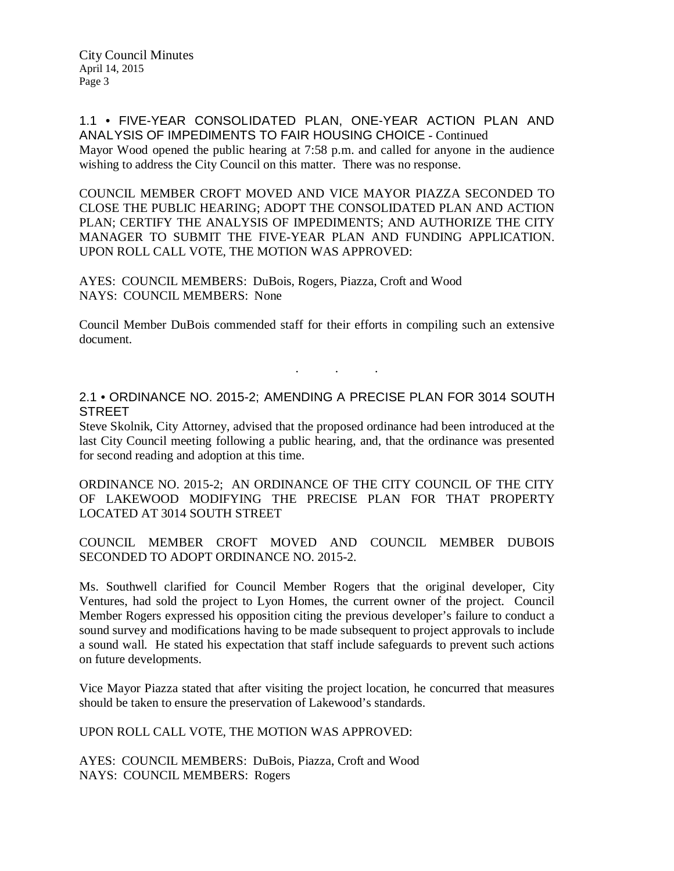City Council Minutes April 14, 2015 Page 3

1.1 • FIVE-YEAR CONSOLIDATED PLAN, ONE-YEAR ACTION PLAN AND ANALYSIS OF IMPEDIMENTS TO FAIR HOUSING CHOICE - Continued Mayor Wood opened the public hearing at 7:58 p.m. and called for anyone in the audience wishing to address the City Council on this matter. There was no response.

COUNCIL MEMBER CROFT MOVED AND VICE MAYOR PIAZZA SECONDED TO CLOSE THE PUBLIC HEARING; ADOPT THE CONSOLIDATED PLAN AND ACTION PLAN; CERTIFY THE ANALYSIS OF IMPEDIMENTS; AND AUTHORIZE THE CITY MANAGER TO SUBMIT THE FIVE-YEAR PLAN AND FUNDING APPLICATION. UPON ROLL CALL VOTE, THE MOTION WAS APPROVED:

AYES: COUNCIL MEMBERS: DuBois, Rogers, Piazza, Croft and Wood NAYS: COUNCIL MEMBERS: None

Council Member DuBois commended staff for their efforts in compiling such an extensive document.

### 2.1 • ORDINANCE NO. 2015-2; AMENDING A PRECISE PLAN FOR 3014 SOUTH **STREET**

. . .

Steve Skolnik, City Attorney, advised that the proposed ordinance had been introduced at the last City Council meeting following a public hearing, and, that the ordinance was presented for second reading and adoption at this time.

ORDINANCE NO. 2015-2; AN ORDINANCE OF THE CITY COUNCIL OF THE CITY OF LAKEWOOD MODIFYING THE PRECISE PLAN FOR THAT PROPERTY LOCATED AT 3014 SOUTH STREET

COUNCIL MEMBER CROFT MOVED AND COUNCIL MEMBER DUBOIS SECONDED TO ADOPT ORDINANCE NO. 2015-2.

Ms. Southwell clarified for Council Member Rogers that the original developer, City Ventures, had sold the project to Lyon Homes, the current owner of the project. Council Member Rogers expressed his opposition citing the previous developer's failure to conduct a sound survey and modifications having to be made subsequent to project approvals to include a sound wall. He stated his expectation that staff include safeguards to prevent such actions on future developments.

Vice Mayor Piazza stated that after visiting the project location, he concurred that measures should be taken to ensure the preservation of Lakewood's standards.

UPON ROLL CALL VOTE, THE MOTION WAS APPROVED:

AYES: COUNCIL MEMBERS: DuBois, Piazza, Croft and Wood NAYS: COUNCIL MEMBERS: Rogers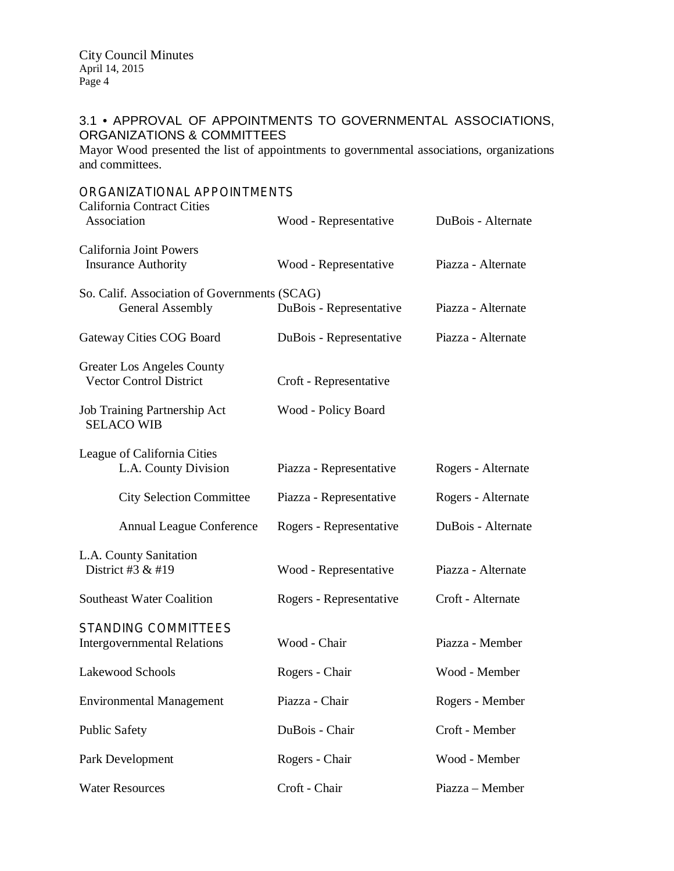# 3.1 • APPROVAL OF APPOINTMENTS TO GOVERNMENTAL ASSOCIATIONS, ORGANIZATIONS & COMMITTEES

Mayor Wood presented the list of appointments to governmental associations, organizations and committees.

| ORGANIZATIONAL APPOINTMENTS<br><b>California Contract Cities</b>        |                         |                    |
|-------------------------------------------------------------------------|-------------------------|--------------------|
| Association                                                             | Wood - Representative   | DuBois - Alternate |
| <b>California Joint Powers</b><br><b>Insurance Authority</b>            | Wood - Representative   | Piazza - Alternate |
| So. Calif. Association of Governments (SCAG)<br><b>General Assembly</b> | DuBois - Representative | Piazza - Alternate |
| Gateway Cities COG Board                                                | DuBois - Representative | Piazza - Alternate |
| <b>Greater Los Angeles County</b><br><b>Vector Control District</b>     | Croft - Representative  |                    |
| Job Training Partnership Act<br><b>SELACO WIB</b>                       | Wood - Policy Board     |                    |
| League of California Cities<br>L.A. County Division                     | Piazza - Representative | Rogers - Alternate |
| <b>City Selection Committee</b>                                         | Piazza - Representative | Rogers - Alternate |
| <b>Annual League Conference</b>                                         | Rogers - Representative | DuBois - Alternate |
| L.A. County Sanitation<br>District #3 & #19                             | Wood - Representative   | Piazza - Alternate |
| <b>Southeast Water Coalition</b>                                        | Rogers - Representative | Croft - Alternate  |
| <b>STANDING COMMITTEES</b><br><b>Intergovernmental Relations</b>        | Wood - Chair            | Piazza - Member    |
| Lakewood Schools                                                        | Rogers - Chair          | Wood - Member      |
| <b>Environmental Management</b>                                         | Piazza - Chair          | Rogers - Member    |
| <b>Public Safety</b>                                                    | DuBois - Chair          | Croft - Member     |
| Park Development                                                        | Rogers - Chair          | Wood - Member      |
| <b>Water Resources</b>                                                  | Croft - Chair           | Piazza - Member    |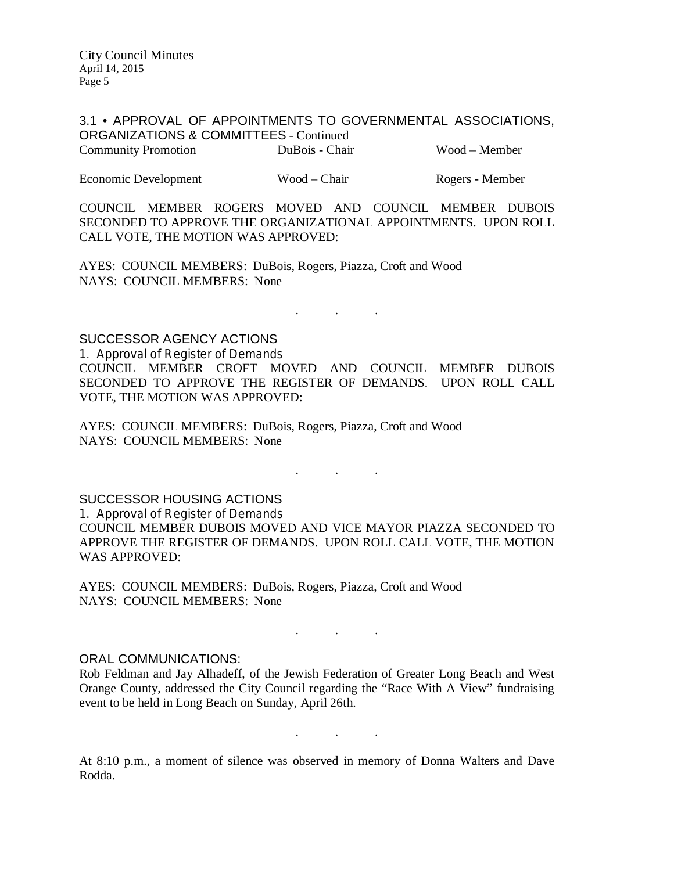3.1 • APPROVAL OF APPOINTMENTS TO GOVERNMENTAL ASSOCIATIONS, ORGANIZATIONS & COMMITTEES - Continued Community Promotion DuBois - Chair Wood – Member

Economic Development Wood – Chair Rogers - Member

COUNCIL MEMBER ROGERS MOVED AND COUNCIL MEMBER DUBOIS SECONDED TO APPROVE THE ORGANIZATIONAL APPOINTMENTS. UPON ROLL CALL VOTE, THE MOTION WAS APPROVED:

AYES: COUNCIL MEMBERS: DuBois, Rogers, Piazza, Croft and Wood NAYS: COUNCIL MEMBERS: None

SUCCESSOR AGENCY ACTIONS

1. Approval of Register of Demands COUNCIL MEMBER CROFT MOVED AND COUNCIL MEMBER DUBOIS SECONDED TO APPROVE THE REGISTER OF DEMANDS. UPON ROLL CALL VOTE, THE MOTION WAS APPROVED:

. . .

AYES: COUNCIL MEMBERS: DuBois, Rogers, Piazza, Croft and Wood NAYS: COUNCIL MEMBERS: None

SUCCESSOR HOUSING ACTIONS 1. Approval of Register of Demands COUNCIL MEMBER DUBOIS MOVED AND VICE MAYOR PIAZZA SECONDED TO APPROVE THE REGISTER OF DEMANDS. UPON ROLL CALL VOTE, THE MOTION WAS APPROVED:

. The set of the set of the set of  $\mathcal{A}$ 

AYES: COUNCIL MEMBERS: DuBois, Rogers, Piazza, Croft and Wood NAYS: COUNCIL MEMBERS: None

#### ORAL COMMUNICATIONS:

Rob Feldman and Jay Alhadeff, of the Jewish Federation of Greater Long Beach and West Orange County, addressed the City Council regarding the "Race With A View" fundraising event to be held in Long Beach on Sunday, April 26th.

. . .

. As we have the set of  $\mathcal{A}$  , and  $\mathcal{A}$ 

At 8:10 p.m., a moment of silence was observed in memory of Donna Walters and Dave Rodda.